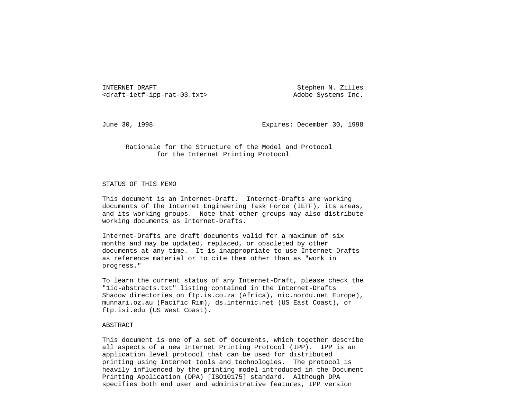INTERNET DRAFT STEPHEN Stephen N. Zilles <draft-ietf-ipp-rat-03.txt> Adobe Systems Inc.

June 30, 1998 Expires: December 30, 1998

 Rationale for the Structure of the Model and Protocol for the Internet Printing Protocol

## STATUS OF THIS MEMO

This document is an Internet-Draft. Internet-Drafts are working documents of the Internet Engineering Task Force (IETF), its areas, and its working groups. Note that other groups may also distribute working documents as Internet-Drafts.

Internet-Drafts are draft documents valid for a maximum of six months and may be updated, replaced, or obsoleted by other documents at any time. It is inappropriate to use Internet-Drafts as reference material or to cite them other than as "work in progress."

To learn the current status of any Internet-Draft, please check the "1id-abstracts.txt" listing contained in the Internet-Drafts Shadow directories on ftp.is.co.za (Africa), nic.nordu.net Europe), munnari.oz.au (Pacific Rim), ds.internic.net (US East Coast), or ftp.isi.edu (US West Coast).

## **ABSTRACT**

This document is one of a set of documents, which together describe all aspects of a new Internet Printing Protocol (IPP). IPP is an application level protocol that can be used for distributed printing using Internet tools and technologies. The protocol is heavily influenced by the printing model introduced in the Document Printing Application (DPA) [ISO10175] standard. Although DPA specifies both end user and administrative features, IPP version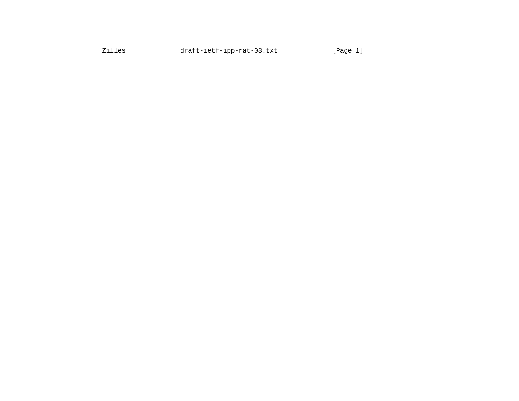Zilles draft-ietf-ipp-rat-03.txt [Page 1]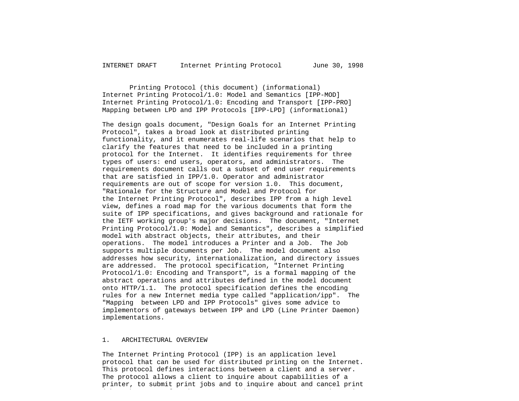Printing Protocol (this document) (informational) Internet Printing Protocol/1.0: Model and Semantics [IPP-MOD] Internet Printing Protocol/1.0: Encoding and Transport [IPP-PRO] Mapping between LPD and IPP Protocols [IPP-LPD] (informational)

The design goals document, "Design Goals for an Internet Printing Protocol", takes a broad look at distributed printing functionality, and it enumerates real-life scenarios that help to clarify the features that need to be included in a printing protocol for the Internet. It identifies requirements for three types of users: end users, operators, and administrators. The requirements document calls out a subset of end user requirements that are satisfied in IPP/1.0. Operator and administrator requirements are out of scope for version 1.0. This document, "Rationale for the Structure and Model and Protocol for the Internet Printing Protocol", describes IPP from a high level view, defines a road map for the various documents that form the suite of IPP specifications, and gives background and rationale for the IETF working group's major decisions. The document, "Internet Printing Protocol/1.0: Model and Semantics", describes a simplified model with abstract objects, their attributes, and their operations. The model introduces a Printer and a Job. The Job supports multiple documents per Job. The model document also addresses how security, internationalization, and directory issues are addressed. The protocol specification, "Internet Printing Protocol/1.0: Encoding and Transport", is a formal mapping of the abstract operations and attributes defined in the model document onto HTTP/1.1. The protocol specification defines the encoding rules for a new Internet media type called "application/ipp". The "Mapping between LPD and IPP Protocols" gives some advice to implementors of gateways between IPP and LPD (Line Printer Daemon) implementations.

#### 1. ARCHITECTURAL OVERVIEW

The Internet Printing Protocol (IPP) is an application level protocol that can be used for distributed printing on the Internet. This protocol defines interactions between a client and a server. The protocol allows a client to inquire about capabilities of a printer, to submit print jobs and to inquire about and cancel print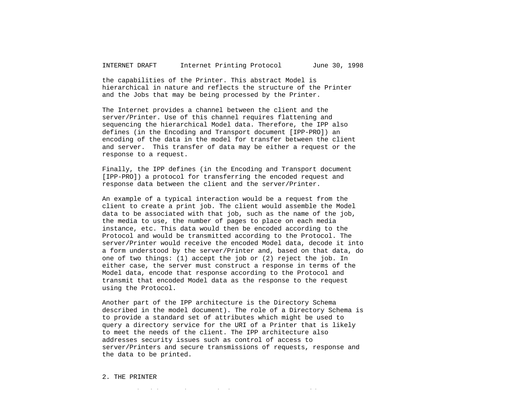the capabilities of the Printer. This abstract Model is hierarchical in nature and reflects the structure of the Printer and the Jobs that may be being processed by the Printer.

The Internet provides a channel between the client and the server/Printer. Use of this channel requires flattening and sequencing the hierarchical Model data. Therefore, the IPP also defines (in the Encoding and Transport document [IPP-PRO]) an encoding of the data in the model for transfer between the client and server. This transfer of data may be either a request or the response to a request.

Finally, the IPP defines (in the Encoding and Transport document [IPP-PRO]) a protocol for transferring the encoded request and response data between the client and the server/Printer.

An example of a typical interaction would be a request from the client to create a print job. The client would assemble the Model data to be associated with that job, such as the name of the job, the media to use, the number of pages to place on each media instance, etc. This data would then be encoded according to the Protocol and would be transmitted according to the Protocol. The server/Printer would receive the encoded Model data, decode it into a form understood by the server/Printer and, based on that data, do one of two things: (1) accept the job or (2) reject the job. In either case, the server must construct a response in terms of the Model data, encode that response according to the Protocol and transmit that encoded Model data as the response to the request using the Protocol.

Another part of the IPP architecture is the Directory Schema described in the model document). The role of a Directory Schema is to provide a standard set of attributes which might be used to query a directory service for the URI of a Printer that is likely to meet the needs of the client. The IPP architecture also addresses security issues such as control of access to server/Printers and secure transmissions of requests, response and the data to be printed.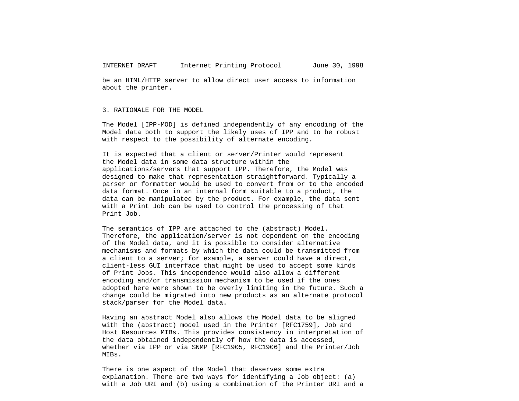be an HTML/HTTP server to allow direct user access to information about the printer.

### 3. RATIONALE FOR THE MODEL

The Model [IPP-MOD] is defined independently of any encoding of the Model data both to support the likely uses of IPP and to be robust with respect to the possibility of alternate encoding.

It is expected that a client or server/Printer would represent the Model data in some data structure within the applications/servers that support IPP. Therefore, the Model was designed to make that representation straightforward. Typically a parser or formatter would be used to convert from or to the encoded data format. Once in an internal form suitable to a product, the data can be manipulated by the product. For example, the data sent with a Print Job can be used to control the processing of that Print Job.

The semantics of IPP are attached to the (abstract) Model. Therefore, the application/server is not dependent on the encoding of the Model data, and it is possible to consider alternative mechanisms and formats by which the data could be transmitted from a client to a server; for example, a server could have a direct, client-less GUI interface that might be used to accept some kinds of Print Jobs. This independence would also allow a different encoding and/or transmission mechanism to be used if the ones adopted here were shown to be overly limiting in the future. Such a change could be migrated into new products as an alternate protocol stack/parser for the Model data.

Having an abstract Model also allows the Model data to be aligned with the (abstract) model used in the Printer [RFC1759], Job and Host Resources MIBs. This provides consistency in interpretation of the data obtained independently of how the data is accessed, whether via IPP or via SNMP [RFC1905, RFC1906] and the Printer/Job  $MTBS$ 

There is one aspect of the Model that deserves some extra explanation. There are two ways for identifying a Job object: (a) with a Job URI and (b) using a combination of the Printer URI and a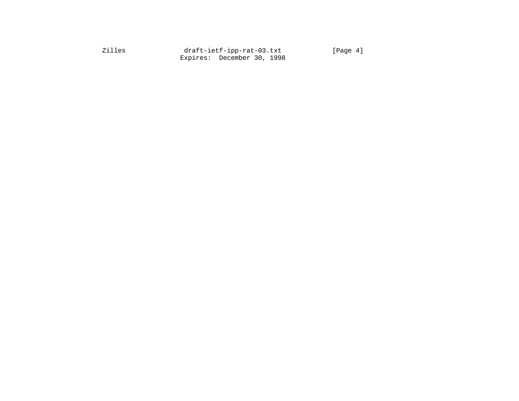| Zilles | draft-ietf-ipp-rat-03.txt  | [Page $4$ ] |  |  |  |  |
|--------|----------------------------|-------------|--|--|--|--|
|        | Expires: December 30, 1998 |             |  |  |  |  |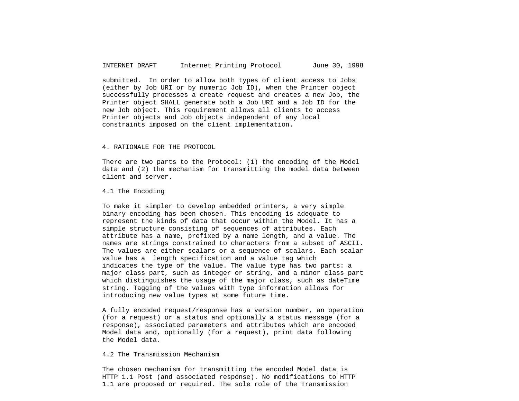submitted. In order to allow both types of client access to Jobs (either by Job URI or by numeric Job ID), when the Printer object successfully processes a create request and creates a new Job, the Printer object SHALL generate both a Job URI and a Job ID for the new Job object. This requirement allows all clients to access Printer objects and Job objects independent of any local constraints imposed on the client implementation.

#### 4. RATIONALE FOR THE PROTOCOL

There are two parts to the Protocol: (1) the encoding of the Model data and (2) the mechanism for transmitting the model data between client and server.

# 4.1 The Encoding

To make it simpler to develop embedded printers, a very simple binary encoding has been chosen. This encoding is adequate to represent the kinds of data that occur within the Model. It has a simple structure consisting of sequences of attributes. Each attribute has a name, prefixed by a name length, and a value. The names are strings constrained to characters from a subset of ASCII. The values are either scalars or a sequence of scalars. Each scalar value has a length specification and a value tag which indicates the type of the value. The value type has two parts: a major class part, such as integer or string, and a minor class part which distinguishes the usage of the major class, such as dateTime string. Tagging of the values with type information allows for introducing new value types at some future time.

A fully encoded request/response has a version number, an operation (for a request) or a status and optionally a status message (for a response), associated parameters and attributes which are encoded Model data and, optionally (for a request), print data following the Model data.

## 4.2 The Transmission Mechanism

The chosen mechanism for transmitting the encoded Model data is HTTP 1.1 Post (and associated response). No modifications to HTTP 1.1 are proposed or required. The sole role of the Transmission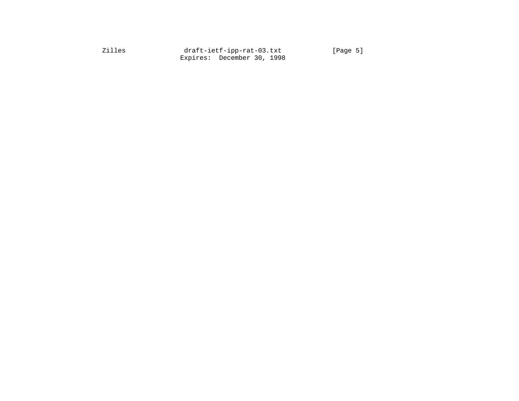| Zilles | draft-ietf-ipp-rat-03.txt  | [Page 5] |  |  |  |  |
|--------|----------------------------|----------|--|--|--|--|
|        | Expires: December 30, 1998 |          |  |  |  |  |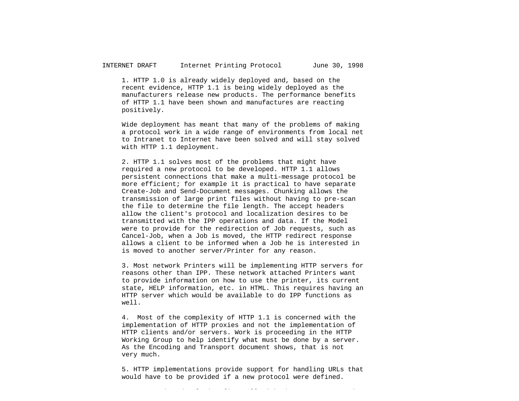1. HTTP 1.0 is already widely deployed and, based on the recent evidence, HTTP 1.1 is being widely deployed as the manufacturers release new products. The performance benefits of HTTP 1.1 have been shown and manufactures are reacting positively.

 Wide deployment has meant that many of the problems of making a protocol work in a wide range of environments from local net to Intranet to Internet have been solved and will stay solved with HTTP 1.1 deployment.

 2. HTTP 1.1 solves most of the problems that might have required a new protocol to be developed. HTTP 1.1 allows persistent connections that make a multi-message protocol be more efficient; for example it is practical to have separate Create-Job and Send-Document messages. Chunking allows the transmission of large print files without having to pre-scan the file to determine the file length. The accept headers allow the client's protocol and localization desires to be transmitted with the IPP operations and data. If the Model were to provide for the redirection of Job requests, such as Cancel-Job, when a Job is moved, the HTTP redirect response allows a client to be informed when a Job he is interested in is moved to another server/Printer for any reason.

 3. Most network Printers will be implementing HTTP servers for reasons other than IPP. These network attached Printers want to provide information on how to use the printer, its current state, HELP information, etc. in HTML. This requires having an HTTP server which would be available to do IPP functions as well.

 4. Most of the complexity of HTTP 1.1 is concerned with the implementation of HTTP proxies and not the implementation of HTTP clients and/or servers. Work is proceeding in the HTTP Working Group to help identify what must be done by a server. As the Encoding and Transport document shows, that is not very much.

 5. HTTP implementations provide support for handling URLs that would have to be provided if a new protocol were defined.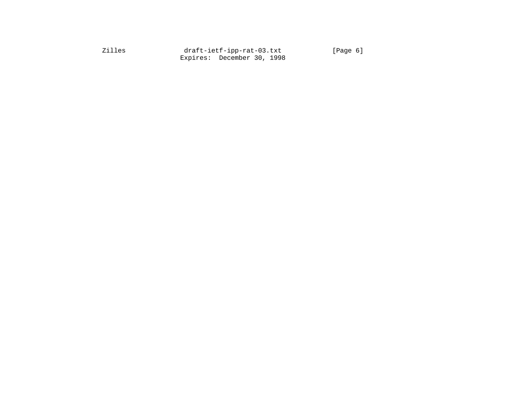| Zilles | draft-ietf-ipp-rat-03.txt  | [Page 6] |  |  |  |  |
|--------|----------------------------|----------|--|--|--|--|
|        | Expires: December 30, 1998 |          |  |  |  |  |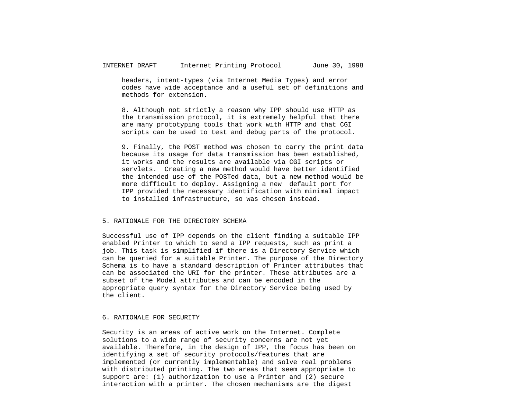headers, intent-types (via Internet Media Types) and error codes have wide acceptance and a useful set of definitions and methods for extension.

 8. Although not strictly a reason why IPP should use HTTP as the transmission protocol, it is extremely helpful that there are many prototyping tools that work with HTTP and that CGI scripts can be used to test and debug parts of the protocol.

 9. Finally, the POST method was chosen to carry the print data because its usage for data transmission has been established, it works and the results are available via CGI scripts or servlets. Creating a new method would have better identified the intended use of the POSTed data, but a new method would be more difficult to deploy. Assigning a new default port for IPP provided the necessary identification with minimal impact to installed infrastructure, so was chosen instead.

#### 5. RATIONALE FOR THE DIRECTORY SCHEMA

Successful use of IPP depends on the client finding a suitable IPP enabled Printer to which to send a IPP requests, such as print a job. This task is simplified if there is a Directory Service which can be queried for a suitable Printer. The purpose of the Directory Schema is to have a standard description of Printer attributes that can be associated the URI for the printer. These attributes are a subset of the Model attributes and can be encoded in the appropriate query syntax for the Directory Service being used by the client.

### 6. RATIONALE FOR SECURITY

Security is an areas of active work on the Internet. Complete solutions to a wide range of security concerns are not yet available. Therefore, in the design of IPP, the focus has been on identifying a set of security protocols/features that are implemented (or currently implementable) and solve real problems with distributed printing. The two areas that seem appropriate to support are: (1) authorization to use a Printer and (2) secure interaction with a printer. The chosen mechanisms are the digest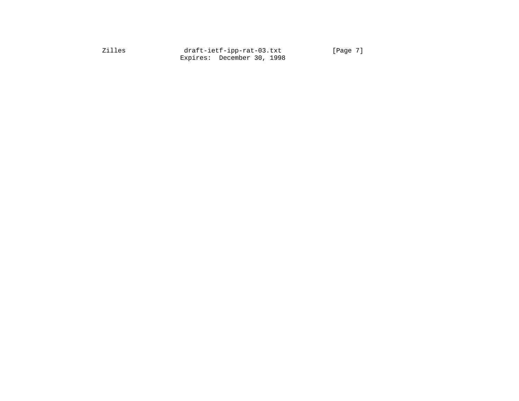| Zilles | draft-ietf-ipp-rat-03.txt  | [Page 7] |  |  |  |  |
|--------|----------------------------|----------|--|--|--|--|
|        | Expires: December 30, 1998 |          |  |  |  |  |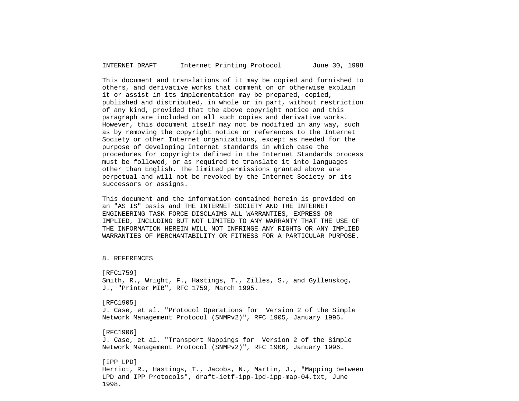This document and translations of it may be copied and furnished to others, and derivative works that comment on or otherwise explain it or assist in its implementation may be prepared, copied, published and distributed, in whole or in part, without restriction of any kind, provided that the above copyright notice and this paragraph are included on all such copies and derivative works. However, this document itself may not be modified in any way, such as by removing the copyright notice or references to the Internet Society or other Internet organizations, except as needed for the purpose of developing Internet standards in which case the procedures for copyrights defined in the Internet Standards process must be followed, or as required to translate it into languages other than English. The limited permissions granted above are perpetual and will not be revoked by the Internet Society or its successors or assigns.

This document and the information contained herein is provided on an "AS IS" basis and THE INTERNET SOCIETY AND THE INTERNET ENGINEERING TASK FORCE DISCLAIMS ALL WARRANTIES, EXPRESS OR IMPLIED, INCLUDING BUT NOT LIMITED TO ANY WARRANTY THAT THE USE OF THE INFORMATION HEREIN WILL NOT INFRINGE ANY RIGHTS OR ANY IMPLIED WARRANTIES OF MERCHANTABILITY OR FITNESS FOR A PARTICULAR PURPOSE.

## 8. REFERENCES

[RFC1759] Smith, R., Wright, F., Hastings, T., Zilles, S., and Gyllenskog, J., "Printer MIB", RFC 1759, March 1995.

### [RFC1905]

J. Case, et al. "Protocol Operations for Version 2 of the Simple Network Management Protocol (SNMPv2)", RFC 1905, January 1996.

### [RFC1906]

J. Case, et al. "Transport Mappings for Version 2 of the Simple Network Management Protocol (SNMPv2)", RFC 1906, January 1996.

# [IPP LPD] Herriot, R., Hastings, T., Jacobs, N., Martin, J., "Mapping between LPD and IPP Protocols", draft-ietf-ipp-lpd-ipp-map-04.txt, June 1998.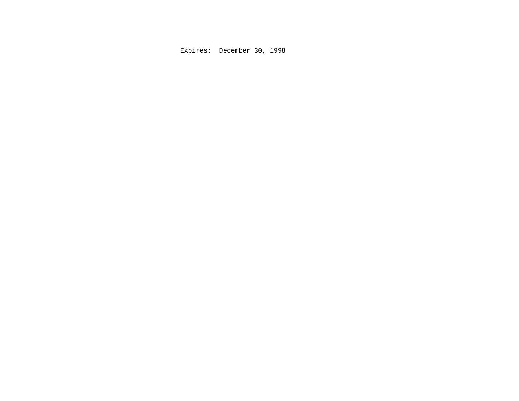Expires: December 30, 1998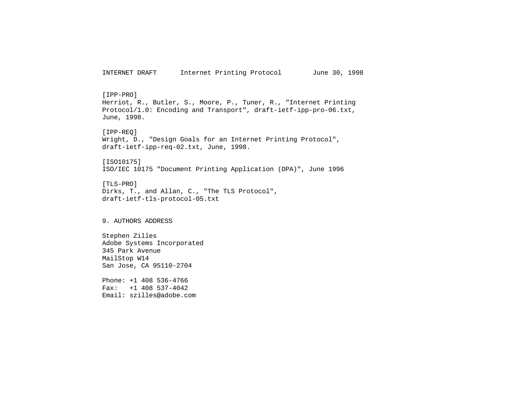```
[IPP-PRO]
Herriot, R., Butler, S., Moore, P., Tuner, R., "Internet Printing
Protocol/1.0: Encoding and Transport", draft-ietf-ipp-pro-06.txt,
June, 1998.
```
[IPP-REQ] Wright, D., "Design Goals for an Internet Printing Protocol", draft-ietf-ipp-req-02.txt, June, 1998.

[ISO10175] ISO/IEC 10175 "Document Printing Application (DPA)", June 1996

[TLS-PRO] Dirks, T., and Allan, C., "The TLS Protocol", draft-ietf-tls-protocol-05.txt

### 9. AUTHORS ADDRESS

Stephen Zilles Adobe Systems Incorporated 345 Park Avenue MailStop W14 San Jose, CA 95110-2704

Phone: +1 408 536-4766 Fax: +1 408 537-4042 Email: szilles@adobe.com